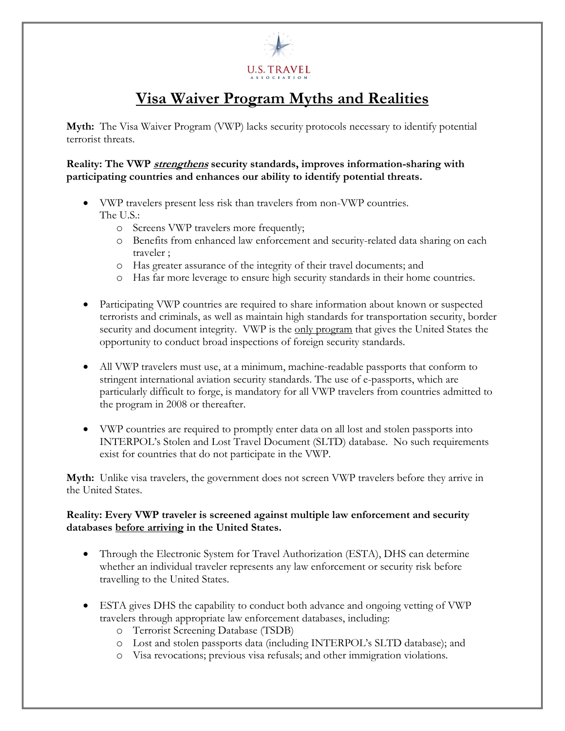

## **Visa Waiver Program Myths and Realities**

**Myth:** The Visa Waiver Program (VWP) lacks security protocols necessary to identify potential terrorist threats.

**Reality: The VWP strengthens security standards, improves information-sharing with participating countries and enhances our ability to identify potential threats.** 

- VWP travelers present less risk than travelers from non-VWP countries. The U.S.:
	- o Screens VWP travelers more frequently;
	- o Benefits from enhanced law enforcement and security-related data sharing on each traveler ;
	- o Has greater assurance of the integrity of their travel documents; and
	- o Has far more leverage to ensure high security standards in their home countries.
- Participating VWP countries are required to share information about known or suspected terrorists and criminals, as well as maintain high standards for transportation security, border security and document integrity. VWP is the only program that gives the United States the opportunity to conduct broad inspections of foreign security standards.
- All VWP travelers must use, at a minimum, machine-readable passports that conform to stringent international aviation security standards. The use of e-passports, which are particularly difficult to forge, is mandatory for all VWP travelers from countries admitted to the program in 2008 or thereafter.
- VWP countries are required to promptly enter data on all lost and stolen passports into INTERPOL's Stolen and Lost Travel Document (SLTD) database. No such requirements exist for countries that do not participate in the VWP.

**Myth:** Unlike visa travelers, the government does not screen VWP travelers before they arrive in the United States.

## **Reality: Every VWP traveler is screened against multiple law enforcement and security databases before arriving in the United States.**

- Through the Electronic System for Travel Authorization (ESTA), DHS can determine whether an individual traveler represents any law enforcement or security risk before travelling to the United States.
- ESTA gives DHS the capability to conduct both advance and ongoing vetting of VWP travelers through appropriate law enforcement databases, including:
	- o Terrorist Screening Database (TSDB)
	- o Lost and stolen passports data (including INTERPOL's SLTD database); and
	- o Visa revocations; previous visa refusals; and other immigration violations.